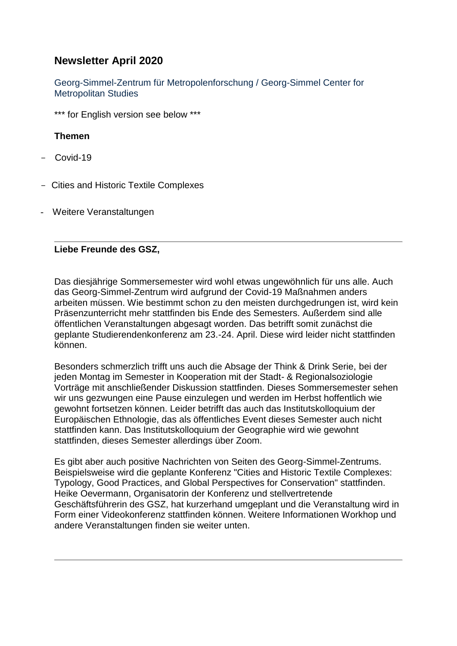# **Newsletter April 2020**

Georg-Simmel-Zentrum für Metropolenforschung / Georg-Simmel Center for Metropolitan Studies

\*\*\* for English version see below \*\*\*

## **Themen**

- Covid-19
- Cities and Historic Textile Complexes
- Weitere Veranstaltungen

### **Liebe Freunde des GSZ,**

Das diesjährige Sommersemester wird wohl etwas ungewöhnlich für uns alle. Auch das Georg-Simmel-Zentrum wird aufgrund der Covid-19 Maßnahmen anders arbeiten müssen. Wie bestimmt schon zu den meisten durchgedrungen ist, wird kein Präsenzunterricht mehr stattfinden bis Ende des Semesters. Außerdem sind alle öffentlichen Veranstaltungen abgesagt worden. Das betrifft somit zunächst die geplante Studierendenkonferenz am 23.-24. April. Diese wird leider nicht stattfinden können.

Besonders schmerzlich trifft uns auch die Absage der Think & Drink Serie, bei der jeden Montag im Semester in Kooperation mit der Stadt- & Regionalsoziologie Vorträge mit anschließender Diskussion stattfinden. Dieses Sommersemester sehen wir uns gezwungen eine Pause einzulegen und werden im Herbst hoffentlich wie gewohnt fortsetzen können. Leider betrifft das auch das Institutskolloquium der Europäischen Ethnologie, das als öffentliches Event dieses Semester auch nicht stattfinden kann. Das Institutskolloquium der Geographie wird wie gewohnt stattfinden, dieses Semester allerdings über Zoom.

Es gibt aber auch positive Nachrichten von Seiten des Georg-Simmel-Zentrums. Beispielsweise wird die geplante Konferenz "Cities and Historic Textile Complexes: Typology, Good Practices, and Global Perspectives for Conservation" stattfinden. Heike Oevermann, Organisatorin der Konferenz und stellvertretende Geschäftsführerin des GSZ, hat kurzerhand umgeplant und die Veranstaltung wird in Form einer Videokonferenz stattfinden können. Weitere Informationen Workhop und andere Veranstaltungen finden sie weiter unten.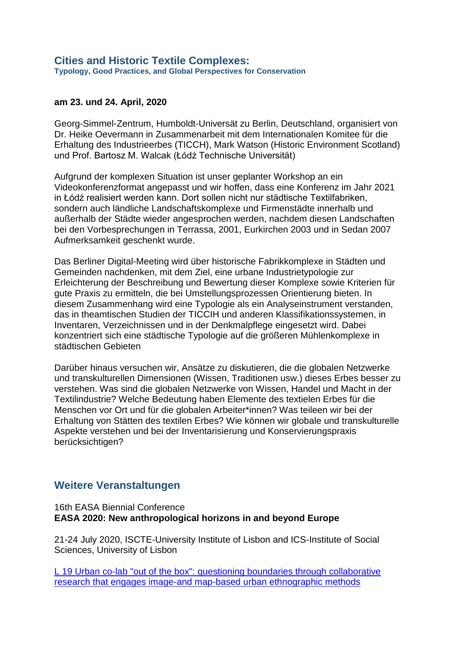#### **am 23. und 24. April, 2020**

Georg-Simmel-Zentrum, Humboldt-Universät zu Berlin, Deutschland, organisiert von Dr. Heike Oevermann in Zusammenarbeit mit dem Internationalen Komitee für die Erhaltung des Industrieerbes (TICCH), Mark Watson (Historic Environment Scotland) und Prof. Bartosz M. Walcak (Łódź Technische Universität)

Aufgrund der komplexen Situation ist unser geplanter Workshop an ein Videokonferenzformat angepasst und wir hoffen, dass eine Konferenz im Jahr 2021 in Łódź realisiert werden kann. Dort sollen nicht nur städtische Textilfabriken, sondern auch ländliche Landschaftskomplexe und Firmenstädte innerhalb und außerhalb der Städte wieder angesprochen werden, nachdem diesen Landschaften bei den Vorbesprechungen in Terrassa, 2001, Eurkirchen 2003 und in Sedan 2007 Aufmerksamkeit geschenkt wurde.

Das Berliner Digital-Meeting wird über historische Fabrikkomplexe in Städten und Gemeinden nachdenken, mit dem Ziel, eine urbane Industrietypologie zur Erleichterung der Beschreibung und Bewertung dieser Komplexe sowie Kriterien für gute Praxis zu ermitteln, die bei Umstellungsprozessen Orientierung bieten. In diesem Zusammenhang wird eine Typologie als ein Analyseinstrument verstanden, das in theamtischen Studien der TICCIH und anderen Klassifikationssystemen, in Inventaren, Verzeichnissen und in der Denkmalpflege eingesetzt wird. Dabei konzentriert sich eine städtische Typologie auf die größeren Mühlenkomplexe in städtischen Gebieten

Darüber hinaus versuchen wir, Ansätze zu diskutieren, die die globalen Netzwerke und transkulturellen Dimensionen (Wissen, Traditionen usw.) dieses Erbes besser zu verstehen. Was sind die globalen Netzwerke von Wissen, Handel und Macht in der Textilindustrie? Welche Bedeutung haben Elemente des textielen Erbes für die Menschen vor Ort und für die globalen Arbeiter\*innen? Was teileen wir bei der Erhaltung von Stätten des textilen Erbes? Wie können wir globale und transkulturelle Aspekte verstehen und bei der Inventarisierung und Konservierungspraxis berücksichtigen?

## **Weitere Veranstaltungen**

#### 16th EASA Biennial Conference **EASA 2020: New anthropological horizons in and beyond Europe**

21-24 July 2020, ISCTE-University Institute of Lisbon and ICS-Institute of Social Sciences, University of Lisbon

[L 19 Urban co-lab "out of the box": questioning boundaries through collaborative](https://nomadit.co.uk/conference/easa2020/p/9390)  [research that engages image-and map-based urban ethnographic methods](https://nomadit.co.uk/conference/easa2020/p/9390)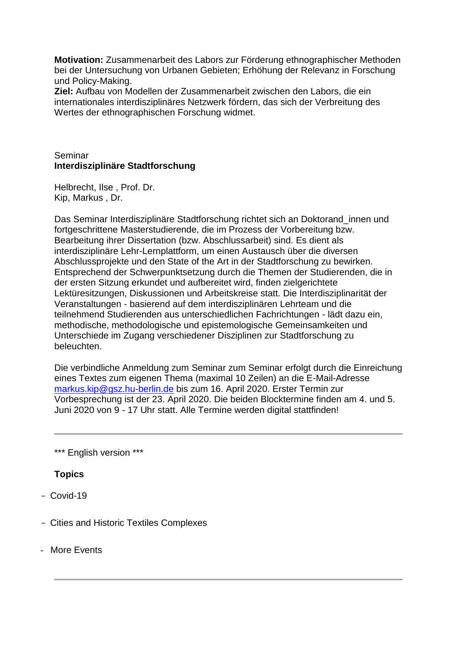**Motivation:** Zusammenarbeit des Labors zur Förderung ethnographischer Methoden bei der Untersuchung von Urbanen Gebieten; Erhöhung der Relevanz in Forschung und Policy-Making.

**Ziel:** Aufbau von Modellen der Zusammenarbeit zwischen den Labors, die ein internationales interdisziplinäres Netzwerk fördern, das sich der Verbreitung des Wertes der ethnographischen Forschung widmet.

### Seminar **Interdisziplinäre Stadtforschung**

Helbrecht, Ilse , Prof. Dr. Kip, Markus , Dr.

Das Seminar Interdisziplinäre Stadtforschung richtet sich an Doktorand\_innen und fortgeschrittene Masterstudierende, die im Prozess der Vorbereitung bzw. Bearbeitung ihrer Dissertation (bzw. Abschlussarbeit) sind. Es dient als interdisziplinäre Lehr-Lernplattform, um einen Austausch über die diversen Abschlussprojekte und den State of the Art in der Stadtforschung zu bewirken. Entsprechend der Schwerpunktsetzung durch die Themen der Studierenden, die in der ersten Sitzung erkundet und aufbereitet wird, finden zielgerichtete Lektüresitzungen, Diskussionen und Arbeitskreise statt. Die Interdisziplinarität der Veranstaltungen - basierend auf dem interdisziplinären Lehrteam und die teilnehmend Studierenden aus unterschiedlichen Fachrichtungen - lädt dazu ein, methodische, methodologische und epistemologische Gemeinsamkeiten und Unterschiede im Zugang verschiedener Disziplinen zur Stadtforschung zu beleuchten.

Die verbindliche Anmeldung zum Seminar zum Seminar erfolgt durch die Einreichung eines Textes zum eigenen Thema (maximal 10 Zeilen) an die E-Mail-Adresse [markus.kip@gsz.hu-berlin.de](mailto:markus.kip@gsz.hu-berlin.de) bis zum 16. April 2020. Erster Termin zur Vorbesprechung ist der 23. April 2020. Die beiden Blocktermine finden am 4. und 5. Juni 2020 von 9 - 17 Uhr statt. Alle Termine werden digital stattfinden!

\*\*\* English version \*\*\*

## **Topics**

- $-$  Covid-19
- Cities and Historic Textiles Complexes
- More Events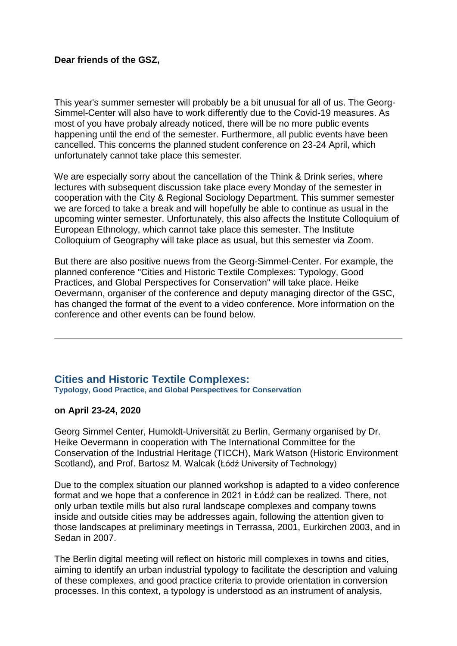### **Dear friends of the GSZ,**

This year's summer semester will probably be a bit unusual for all of us. The Georg-Simmel-Center will also have to work differently due to the Covid-19 measures. As most of you have probaly already noticed, there will be no more public events happening until the end of the semester. Furthermore, all public events have been cancelled. This concerns the planned student conference on 23-24 April, which unfortunately cannot take place this semester.

We are especially sorry about the cancellation of the Think & Drink series, where lectures with subsequent discussion take place every Monday of the semester in cooperation with the City & Regional Sociology Department. This summer semester we are forced to take a break and will hopefully be able to continue as usual in the upcoming winter semester. Unfortunately, this also affects the Institute Colloquium of European Ethnology, which cannot take place this semester. The Institute Colloquium of Geography will take place as usual, but this semester via Zoom.

But there are also positive nuews from the Georg-Simmel-Center. For example, the planned conference "Cities and Historic Textile Complexes: Typology, Good Practices, and Global Perspectives for Conservation" will take place. Heike Oevermann, organiser of the conference and deputy managing director of the GSC, has changed the format of the event to a video conference. More information on the conference and other events can be found below.

#### **Cities and Historic Textile Complexes: Typology, Good Practice, and Global Perspectives for Conservation**

#### **on April 23-24, 2020**

Georg Simmel Center, Humoldt-Universität zu Berlin, Germany organised by Dr. Heike Oevermann in cooperation with The International Committee for the Conservation of the Industrial Heritage (TICCH), Mark Watson (Historic Environment Scotland), and Prof. Bartosz M. Walcak (Łódź University of Technology)

Due to the complex situation our planned workshop is adapted to a video conference format and we hope that a conference in 2021 in Łódź can be realized. There, not only urban textile mills but also rural landscape complexes and company towns inside and outside cities may be addresses again, following the attention given to those landscapes at preliminary meetings in Terrassa, 2001, Eurkirchen 2003, and in Sedan in 2007.

The Berlin digital meeting will reflect on historic mill complexes in towns and cities, aiming to identify an urban industrial typology to facilitate the description and valuing of these complexes, and good practice criteria to provide orientation in conversion processes. In this context, a typology is understood as an instrument of analysis,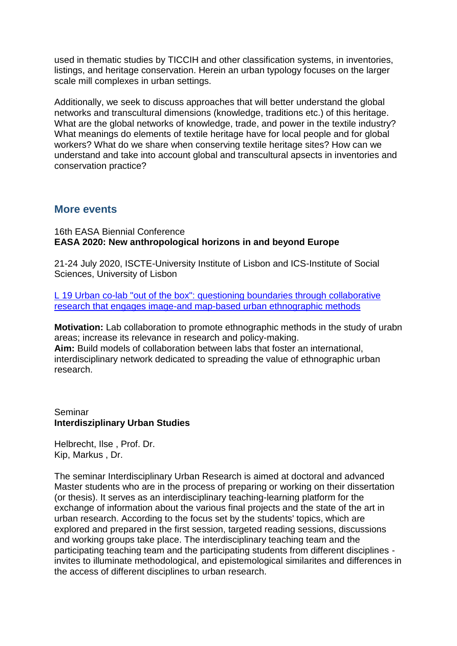used in thematic studies by TICCIH and other classification systems, in inventories, listings, and heritage conservation. Herein an urban typology focuses on the larger scale mill complexes in urban settings.

Additionally, we seek to discuss approaches that will better understand the global networks and transcultural dimensions (knowledge, traditions etc.) of this heritage. What are the global networks of knowledge, trade, and power in the textile industry? What meanings do elements of textile heritage have for local people and for global workers? What do we share when conserving textile heritage sites? How can we understand and take into account global and transcultural apsects in inventories and conservation practice?

## **More events**

16th EASA Biennial Conference **EASA 2020: New anthropological horizons in and beyond Europe**

21-24 July 2020, ISCTE-University Institute of Lisbon and ICS-Institute of Social Sciences, University of Lisbon

[L 19 Urban co-lab "out of the box": questioning boundaries through collaborative](https://nomadit.co.uk/conference/easa2020/p/9390)  [research that engages image-and map-based urban ethnographic methods](https://nomadit.co.uk/conference/easa2020/p/9390)

**Motivation:** Lab collaboration to promote ethnographic methods in the study of urabn areas; increase its relevance in research and policy-making. **Aim:** Build models of collaboration between labs that foster an international, interdisciplinary network dedicated to spreading the value of ethnographic urban research.

Seminar **Interdisziplinary Urban Studies**

Helbrecht, Ilse , Prof. Dr. Kip, Markus , Dr.

The seminar Interdisciplinary Urban Research is aimed at doctoral and advanced Master students who are in the process of preparing or working on their dissertation (or thesis). It serves as an interdisciplinary teaching-learning platform for the exchange of information about the various final projects and the state of the art in urban research. According to the focus set by the students' topics, which are explored and prepared in the first session, targeted reading sessions, discussions and working groups take place. The interdisciplinary teaching team and the participating teaching team and the participating students from different disciplines invites to illuminate methodological, and epistemological similarites and differences in the access of different disciplines to urban research.